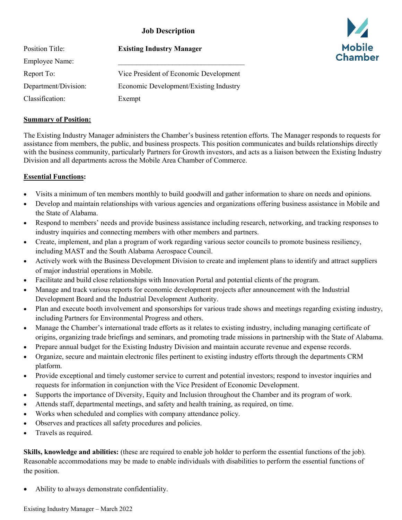# **Job Description**

| <b>Position Title:</b> | <b>Existing Industry Manager</b>       |
|------------------------|----------------------------------------|
| Employee Name:         |                                        |
| Report To:             | Vice President of Economic Development |
| Department/Division:   | Economic Development/Existing Industry |
| Classification:        | Exempt                                 |

## **Summary of Position:**

The Existing Industry Manager administers the Chamber's business retention efforts. The Manager responds to requests for assistance from members, the public, and business prospects. This position communicates and builds relationships directly with the business community, particularly Partners for Growth investors, and acts as a liaison between the Existing Industry Division and all departments across the Mobile Area Chamber of Commerce.

## **Essential Functions:**

- Visits a minimum of ten members monthly to build goodwill and gather information to share on needs and opinions.
- Develop and maintain relationships with various agencies and organizations offering business assistance in Mobile and the State of Alabama.
- Respond to members' needs and provide business assistance including research, networking, and tracking responses to industry inquiries and connecting members with other members and partners.
- Create, implement, and plan a program of work regarding various sector councils to promote business resiliency, including MAST and the South Alabama Aerospace Council.
- Actively work with the Business Development Division to create and implement plans to identify and attract suppliers of major industrial operations in Mobile.
- Facilitate and build close relationships with Innovation Portal and potential clients of the program.
- Manage and track various reports for economic development projects after announcement with the Industrial Development Board and the Industrial Development Authority.
- Plan and execute booth involvement and sponsorships for various trade shows and meetings regarding existing industry, including Partners for Environmental Progress and others.
- Manage the Chamber's international trade efforts as it relates to existing industry, including managing certificate of origins, organizing trade briefings and seminars, and promoting trade missions in partnership with the State of Alabama.
- Prepare annual budget for the Existing Industry Division and maintain accurate revenue and expense records.
- Organize, secure and maintain electronic files pertinent to existing industry efforts through the departments CRM platform.
- Provide exceptional and timely customer service to current and potential investors; respond to investor inquiries and requests for information in conjunction with the Vice President of Economic Development.
- Supports the importance of Diversity, Equity and Inclusion throughout the Chamber and its program of work.
- Attends staff, departmental meetings, and safety and health training, as required, on time.
- Works when scheduled and complies with company attendance policy.
- Observes and practices all safety procedures and policies.
- Travels as required.

**Skills, knowledge and abilities:** (these are required to enable job holder to perform the essential functions of the job). Reasonable accommodations may be made to enable individuals with disabilities to perform the essential functions of the position.

• Ability to always demonstrate confidentiality.